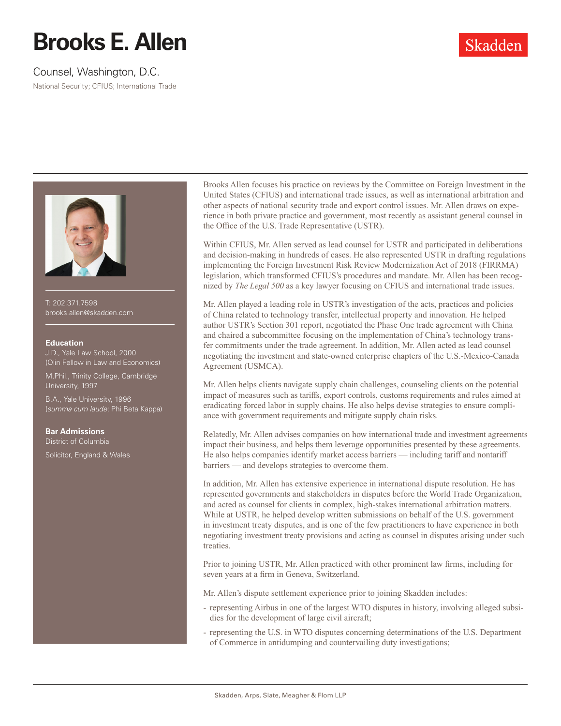# **Brooks E. Allen**

## Counsel, Washington, D.C.

National Security; CFIUS; International Trade



T: 202.371.7598 brooks.allen@skadden.com

#### **Education**

J.D., Yale Law School, 2000 (Olin Fellow in Law and Economics)

M.Phil., Trinity College, Cambridge University, 1997

B.A., Yale University, 1996 (*summa cum laude*; Phi Beta Kappa)

#### **Bar Admissions**

District of Columbia

Solicitor, England & Wales

Brooks Allen focuses his practice on reviews by the Committee on Foreign Investment in the United States (CFIUS) and international trade issues, as well as international arbitration and other aspects of national security trade and export control issues. Mr. Allen draws on experience in both private practice and government, most recently as assistant general counsel in the Office of the U.S. Trade Representative (USTR).

Within CFIUS, Mr. Allen served as lead counsel for USTR and participated in deliberations and decision-making in hundreds of cases. He also represented USTR in drafting regulations implementing the Foreign Investment Risk Review Modernization Act of 2018 (FIRRMA) legislation, which transformed CFIUS's procedures and mandate. Mr. Allen has been recognized by *The Legal 500* as a key lawyer focusing on CFIUS and international trade issues.

Mr. Allen played a leading role in USTR's investigation of the acts, practices and policies of China related to technology transfer, intellectual property and innovation. He helped author USTR's Section 301 report, negotiated the Phase One trade agreement with China and chaired a subcommittee focusing on the implementation of China's technology transfer commitments under the trade agreement. In addition, Mr. Allen acted as lead counsel negotiating the investment and state-owned enterprise chapters of the U.S.-Mexico-Canada Agreement (USMCA).

Mr. Allen helps clients navigate supply chain challenges, counseling clients on the potential impact of measures such as tariffs, export controls, customs requirements and rules aimed at eradicating forced labor in supply chains. He also helps devise strategies to ensure compliance with government requirements and mitigate supply chain risks.

Relatedly, Mr. Allen advises companies on how international trade and investment agreements impact their business, and helps them leverage opportunities presented by these agreements. He also helps companies identify market access barriers — including tariff and nontariff barriers — and develops strategies to overcome them.

In addition, Mr. Allen has extensive experience in international dispute resolution. He has represented governments and stakeholders in disputes before the World Trade Organization, and acted as counsel for clients in complex, high-stakes international arbitration matters. While at USTR, he helped develop written submissions on behalf of the U.S. government in investment treaty disputes, and is one of the few practitioners to have experience in both negotiating investment treaty provisions and acting as counsel in disputes arising under such treaties.

Prior to joining USTR, Mr. Allen practiced with other prominent law firms, including for seven years at a firm in Geneva, Switzerland.

Mr. Allen's dispute settlement experience prior to joining Skadden includes:

- representing Airbus in one of the largest WTO disputes in history, involving alleged subsidies for the development of large civil aircraft;
- representing the U.S. in WTO disputes concerning determinations of the U.S. Department of Commerce in antidumping and countervailing duty investigations;